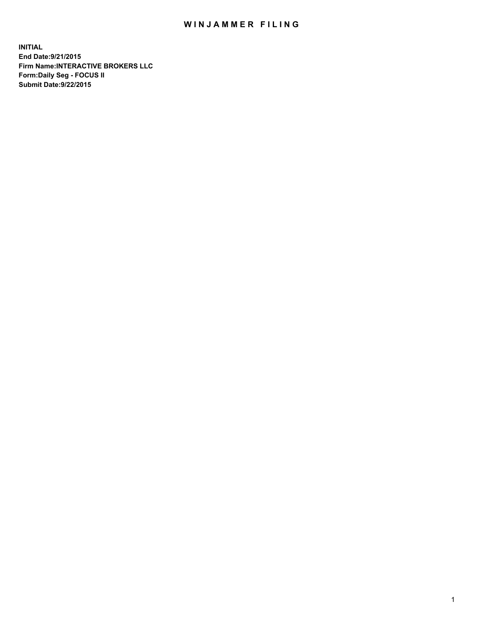## WIN JAMMER FILING

**INITIAL End Date:9/21/2015 Firm Name:INTERACTIVE BROKERS LLC Form:Daily Seg - FOCUS II Submit Date:9/22/2015**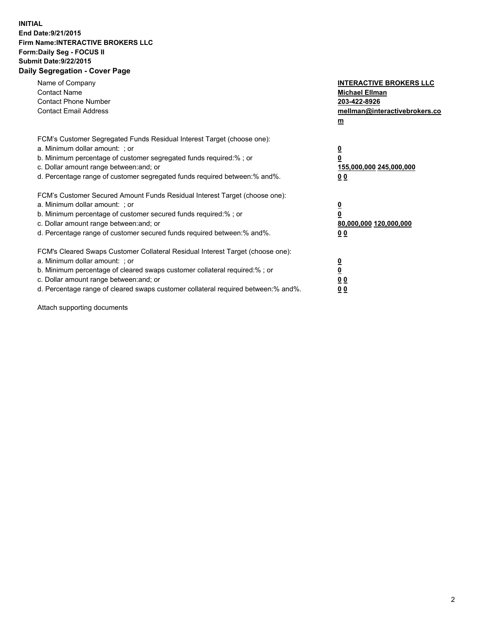## **INITIAL End Date:9/21/2015 Firm Name:INTERACTIVE BROKERS LLC Form:Daily Seg - FOCUS II Submit Date:9/22/2015 Daily Segregation - Cover Page**

| Name of Company<br><b>Contact Name</b><br><b>Contact Phone Number</b><br><b>Contact Email Address</b>                                                                                                                                                                                                                          | <b>INTERACTIVE BROKERS LLC</b><br><b>Michael Ellman</b><br>203-422-8926<br>mellman@interactivebrokers.co<br>$\underline{\mathbf{m}}$ |
|--------------------------------------------------------------------------------------------------------------------------------------------------------------------------------------------------------------------------------------------------------------------------------------------------------------------------------|--------------------------------------------------------------------------------------------------------------------------------------|
| FCM's Customer Segregated Funds Residual Interest Target (choose one):<br>a. Minimum dollar amount: ; or<br>b. Minimum percentage of customer segregated funds required:%; or<br>c. Dollar amount range between: and; or<br>d. Percentage range of customer segregated funds required between:% and%.                          | $\overline{\mathbf{0}}$<br>$\overline{\mathbf{0}}$<br>155,000,000 245,000,000<br>00                                                  |
| FCM's Customer Secured Amount Funds Residual Interest Target (choose one):<br>a. Minimum dollar amount: ; or<br>b. Minimum percentage of customer secured funds required:%; or<br>c. Dollar amount range between: and; or<br>d. Percentage range of customer secured funds required between: % and %.                          | $\overline{\mathbf{0}}$<br>$\mathbf 0$<br>80,000,000 120,000,000<br>00                                                               |
| FCM's Cleared Swaps Customer Collateral Residual Interest Target (choose one):<br>a. Minimum dollar amount: ; or<br>b. Minimum percentage of cleared swaps customer collateral required:% ; or<br>c. Dollar amount range between: and; or<br>d. Percentage range of cleared swaps customer collateral required between:% and%. | $\overline{\mathbf{0}}$<br>$\overline{\mathbf{0}}$<br>0 <sub>0</sub><br>0 <sub>0</sub>                                               |

Attach supporting documents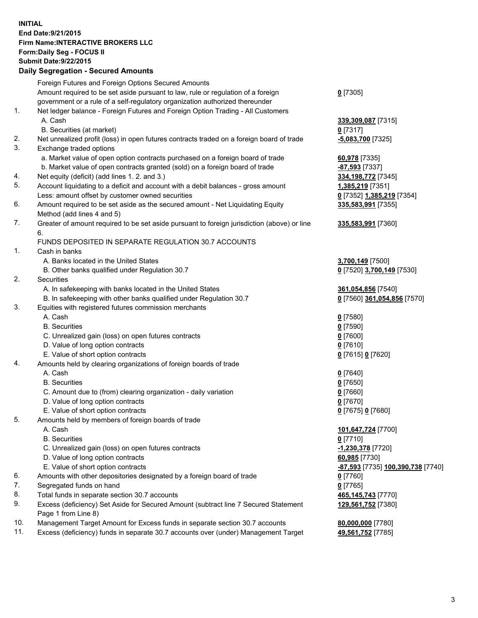## **INITIAL End Date:9/21/2015 Firm Name:INTERACTIVE BROKERS LLC Form:Daily Seg - FOCUS II Submit Date:9/22/2015 Daily Segregation - Secured Amounts**

|     | $-$ 0.000 0.000 0.000 0.000 0.000 0.000 0.000 0.000 0.000 0.000 0.000 0.000 0.000 0.000 0.000 0.000 0.000 0.000 0.000 0.000 0.000 0.000 0.000 0.000 0.000 0.000 0.000 0.000 0.000 0.000 0.000 0.000 0.000 0.000 0.000 0.000 0 |                                          |
|-----|-------------------------------------------------------------------------------------------------------------------------------------------------------------------------------------------------------------------------------|------------------------------------------|
|     | Foreign Futures and Foreign Options Secured Amounts                                                                                                                                                                           |                                          |
|     | Amount required to be set aside pursuant to law, rule or regulation of a foreign                                                                                                                                              | $0$ [7305]                               |
|     | government or a rule of a self-regulatory organization authorized thereunder                                                                                                                                                  |                                          |
| 1.  | Net ledger balance - Foreign Futures and Foreign Option Trading - All Customers                                                                                                                                               |                                          |
|     | A. Cash                                                                                                                                                                                                                       | 339,309,087 [7315]                       |
|     | B. Securities (at market)                                                                                                                                                                                                     | $0$ [7317]                               |
| 2.  | Net unrealized profit (loss) in open futures contracts traded on a foreign board of trade                                                                                                                                     | <b>-5,083,700</b> [7325]                 |
| 3.  | Exchange traded options                                                                                                                                                                                                       |                                          |
|     | a. Market value of open option contracts purchased on a foreign board of trade                                                                                                                                                | 60,978 [7335]                            |
|     | b. Market value of open contracts granted (sold) on a foreign board of trade                                                                                                                                                  | -87,593 [7337]                           |
| 4.  | Net equity (deficit) (add lines 1.2. and 3.)                                                                                                                                                                                  | 334,198,772 [7345]                       |
| 5.  | Account liquidating to a deficit and account with a debit balances - gross amount                                                                                                                                             | 1,385,219 [7351]                         |
|     | Less: amount offset by customer owned securities                                                                                                                                                                              | 0 [7352] 1,385,219 [7354]                |
| 6.  | Amount required to be set aside as the secured amount - Net Liquidating Equity                                                                                                                                                | 335,583,991 [7355]                       |
|     | Method (add lines 4 and 5)                                                                                                                                                                                                    |                                          |
| 7.  | Greater of amount required to be set aside pursuant to foreign jurisdiction (above) or line                                                                                                                                   | 335,583,991 [7360]                       |
|     | 6.                                                                                                                                                                                                                            |                                          |
|     | FUNDS DEPOSITED IN SEPARATE REGULATION 30.7 ACCOUNTS                                                                                                                                                                          |                                          |
| 1.  | Cash in banks                                                                                                                                                                                                                 |                                          |
|     | A. Banks located in the United States                                                                                                                                                                                         | 3,700,149 [7500]                         |
|     | B. Other banks qualified under Regulation 30.7                                                                                                                                                                                | 0 [7520] 3,700,149 [7530]                |
| 2.  | Securities                                                                                                                                                                                                                    |                                          |
|     | A. In safekeeping with banks located in the United States                                                                                                                                                                     | 361,054,856 [7540]                       |
|     | B. In safekeeping with other banks qualified under Regulation 30.7                                                                                                                                                            | 0 [7560] 361,054,856 [7570]              |
| 3.  | Equities with registered futures commission merchants                                                                                                                                                                         |                                          |
|     | A. Cash                                                                                                                                                                                                                       | $0$ [7580]                               |
|     | <b>B.</b> Securities                                                                                                                                                                                                          | $0$ [7590]                               |
|     | C. Unrealized gain (loss) on open futures contracts                                                                                                                                                                           | $0$ [7600]                               |
|     | D. Value of long option contracts                                                                                                                                                                                             | $0$ [7610]                               |
|     | E. Value of short option contracts                                                                                                                                                                                            | 0 [7615] 0 [7620]                        |
| 4.  | Amounts held by clearing organizations of foreign boards of trade                                                                                                                                                             |                                          |
|     | A. Cash                                                                                                                                                                                                                       | $0$ [7640]                               |
|     | <b>B.</b> Securities                                                                                                                                                                                                          | $0$ [7650]                               |
|     | C. Amount due to (from) clearing organization - daily variation                                                                                                                                                               | $0$ [7660]                               |
|     | D. Value of long option contracts                                                                                                                                                                                             | $0$ [7670]                               |
|     | E. Value of short option contracts                                                                                                                                                                                            | 0 [7675] 0 [7680]                        |
| 5.  | Amounts held by members of foreign boards of trade                                                                                                                                                                            |                                          |
|     | A. Cash                                                                                                                                                                                                                       | 101,647,724 [7700]                       |
|     | <b>B.</b> Securities                                                                                                                                                                                                          | $0$ [7710]                               |
|     | C. Unrealized gain (loss) on open futures contracts                                                                                                                                                                           | -1,230,378 [7720]                        |
|     | D. Value of long option contracts                                                                                                                                                                                             | 60,985 [7730]                            |
|     | E. Value of short option contracts                                                                                                                                                                                            | -87,593 [7735] 100,390,738 [7740]        |
| 6.  | Amounts with other depositories designated by a foreign board of trade                                                                                                                                                        | $0$ [7760]                               |
| 7.  | Segregated funds on hand                                                                                                                                                                                                      | $0$ [7765]                               |
| 8.  | Total funds in separate section 30.7 accounts                                                                                                                                                                                 |                                          |
| 9.  | Excess (deficiency) Set Aside for Secured Amount (subtract line 7 Secured Statement                                                                                                                                           | 465,145,743 [7770]<br>129,561,752 [7380] |
|     |                                                                                                                                                                                                                               |                                          |
| 10. | Page 1 from Line 8)                                                                                                                                                                                                           |                                          |
| 11. | Management Target Amount for Excess funds in separate section 30.7 accounts                                                                                                                                                   | 80,000,000 [7780]                        |
|     | Excess (deficiency) funds in separate 30.7 accounts over (under) Management Target                                                                                                                                            | 49,561,752 [7785]                        |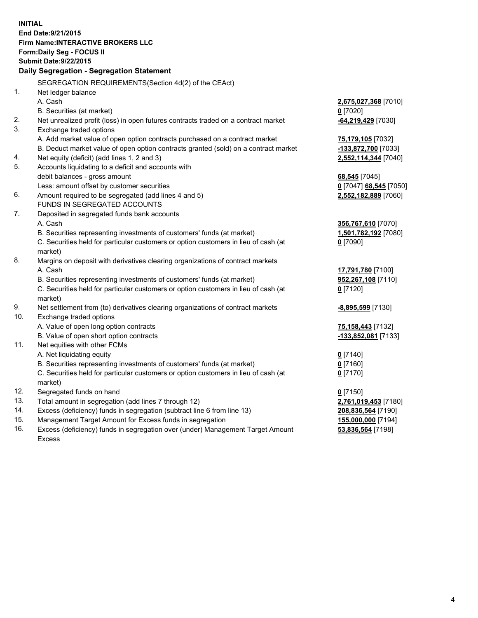**INITIAL End Date:9/21/2015 Firm Name:INTERACTIVE BROKERS LLC Form:Daily Seg - FOCUS II Submit Date:9/22/2015 Daily Segregation - Segregation Statement** SEGREGATION REQUIREMENTS(Section 4d(2) of the CEAct) 1. Net ledger balance A. Cash **2,675,027,368** [7010] B. Securities (at market) **0** [7020] 2. Net unrealized profit (loss) in open futures contracts traded on a contract market **-64,219,429** [7030] 3. Exchange traded options A. Add market value of open option contracts purchased on a contract market **75,179,105** [7032] B. Deduct market value of open option contracts granted (sold) on a contract market **-133,872,700** [7033] 4. Net equity (deficit) (add lines 1, 2 and 3) **2,552,114,344** [7040] 5. Accounts liquidating to a deficit and accounts with debit balances - gross amount **68,545** [7045] Less: amount offset by customer securities **0** [7047] **68,545** [7050] 6. Amount required to be segregated (add lines 4 and 5) **2,552,182,889** [7060] FUNDS IN SEGREGATED ACCOUNTS 7. Deposited in segregated funds bank accounts A. Cash **356,767,610** [7070] B. Securities representing investments of customers' funds (at market) **1,501,782,192** [7080] C. Securities held for particular customers or option customers in lieu of cash (at market) **0** [7090] 8. Margins on deposit with derivatives clearing organizations of contract markets A. Cash **17,791,780** [7100] B. Securities representing investments of customers' funds (at market) **952,267,108** [7110] C. Securities held for particular customers or option customers in lieu of cash (at market) **0** [7120] 9. Net settlement from (to) derivatives clearing organizations of contract markets **-8,895,599** [7130] 10. Exchange traded options A. Value of open long option contracts **75,158,443** [7132] B. Value of open short option contracts **-133,852,081** [7133] 11. Net equities with other FCMs A. Net liquidating equity **0** [7140] B. Securities representing investments of customers' funds (at market) **0** [7160] C. Securities held for particular customers or option customers in lieu of cash (at market) **0** [7170] 12. Segregated funds on hand **0** [7150] 13. Total amount in segregation (add lines 7 through 12) **2,761,019,453** [7180] 14. Excess (deficiency) funds in segregation (subtract line 6 from line 13) **208,836,564** [7190] 15. Management Target Amount for Excess funds in segregation **155,000,000** [7194] 16. Excess (deficiency) funds in segregation over (under) Management Target Amount **53,836,564** [7198]

Excess